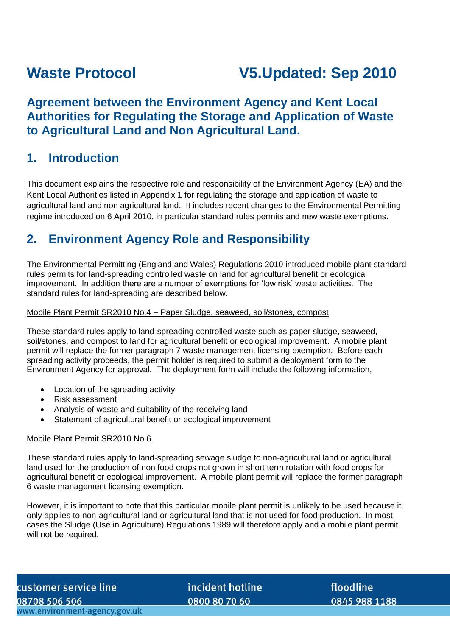# **Waste Protocol V5.Updated: Sep 2010**

# **Agreement between the Environment Agency and Kent Local Authorities for Regulating the Storage and Application of Waste to Agricultural Land and Non Agricultural Land.**

# **1. Introduction**

This document explains the respective role and responsibility of the Environment Agency (EA) and the Kent Local Authorities listed in Appendix 1 for regulating the storage and application of waste to agricultural land and non agricultural land. It includes recent changes to the Environmental Permitting regime introduced on 6 April 2010, in particular standard rules permits and new waste exemptions.

# **2. Environment Agency Role and Responsibility**

The Environmental Permitting (England and Wales) Regulations 2010 introduced mobile plant standard rules permits for land-spreading controlled waste on land for agricultural benefit or ecological improvement. In addition there are a number of exemptions for 'low risk' waste activities. The standard rules for land-spreading are described below.

#### Mobile Plant Permit SR2010 No.4 – Paper Sludge, seaweed, soil/stones, compost

These standard rules apply to land-spreading controlled waste such as paper sludge, seaweed, soil/stones, and compost to land for agricultural benefit or ecological improvement. A mobile plant permit will replace the former paragraph 7 waste management licensing exemption. Before each spreading activity proceeds, the permit holder is required to submit a deployment form to the Environment Agency for approval. The deployment form will include the following information,

- Location of the spreading activity
- Risk assessment
- Analysis of waste and suitability of the receiving land
- Statement of agricultural benefit or ecological improvement

#### Mobile Plant Permit SR2010 No.6

These standard rules apply to land-spreading sewage sludge to non-agricultural land or agricultural land used for the production of non food crops not grown in short term rotation with food crops for agricultural benefit or ecological improvement. A mobile plant permit will replace the former paragraph 6 waste management licensing exemption.

However, it is important to note that this particular mobile plant permit is unlikely to be used because it only applies to non-agricultural land or agricultural land that is not used for food production. In most cases the Sludge (Use in Agriculture) Regulations 1989 will therefore apply and a mobile plant permit will not be required.

incident hotline 0800 80 70 60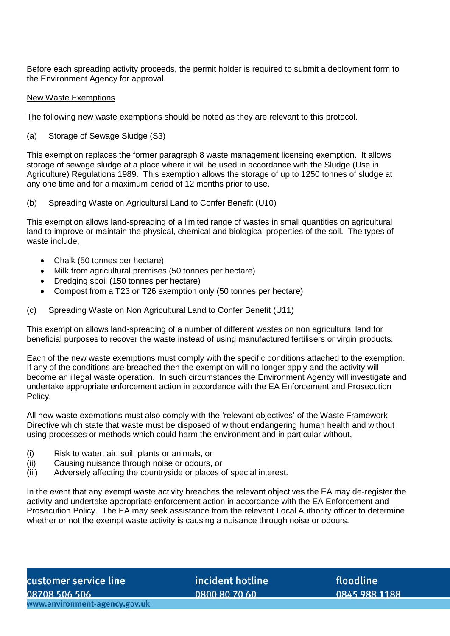Before each spreading activity proceeds, the permit holder is required to submit a deployment form to the Environment Agency for approval.

#### New Waste Exemptions

The following new waste exemptions should be noted as they are relevant to this protocol.

(a) Storage of Sewage Sludge (S3)

This exemption replaces the former paragraph 8 waste management licensing exemption. It allows storage of sewage sludge at a place where it will be used in accordance with the Sludge (Use in Agriculture) Regulations 1989. This exemption allows the storage of up to 1250 tonnes of sludge at any one time and for a maximum period of 12 months prior to use.

(b) Spreading Waste on Agricultural Land to Confer Benefit (U10)

This exemption allows land-spreading of a limited range of wastes in small quantities on agricultural land to improve or maintain the physical, chemical and biological properties of the soil. The types of waste include,

- Chalk (50 tonnes per hectare)
- Milk from agricultural premises (50 tonnes per hectare)
- Dredging spoil (150 tonnes per hectare)
- Compost from a T23 or T26 exemption only (50 tonnes per hectare)
- (c) Spreading Waste on Non Agricultural Land to Confer Benefit (U11)

This exemption allows land-spreading of a number of different wastes on non agricultural land for beneficial purposes to recover the waste instead of using manufactured fertilisers or virgin products.

Each of the new waste exemptions must comply with the specific conditions attached to the exemption. If any of the conditions are breached then the exemption will no longer apply and the activity will become an illegal waste operation. In such circumstances the Environment Agency will investigate and undertake appropriate enforcement action in accordance with the EA Enforcement and Prosecution Policy.

All new waste exemptions must also comply with the 'relevant objectives' of the Waste Framework Directive which state that waste must be disposed of without endangering human health and without using processes or methods which could harm the environment and in particular without,

- (i) Risk to water, air, soil, plants or animals, or
- (ii) Causing nuisance through noise or odours, or
- (iii) Adversely affecting the countryside or places of special interest.

In the event that any exempt waste activity breaches the relevant objectives the EA may de-register the activity and undertake appropriate enforcement action in accordance with the EA Enforcement and Prosecution Policy. The EA may seek assistance from the relevant Local Authority officer to determine whether or not the exempt waste activity is causing a nuisance through noise or odours.

incident hotline 0800 80 70 60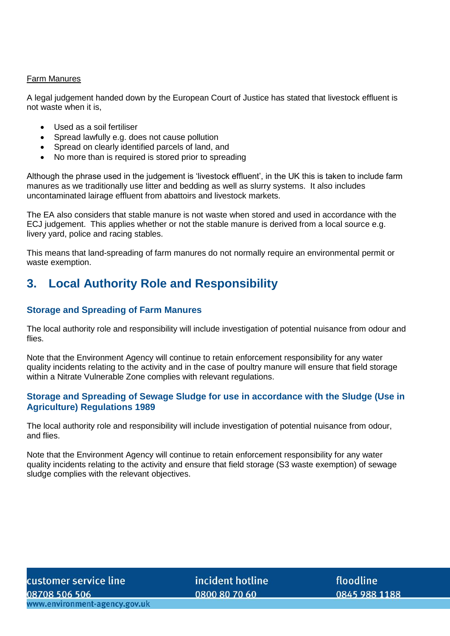#### Farm Manures

A legal judgement handed down by the European Court of Justice has stated that livestock effluent is not waste when it is,

- Used as a soil fertiliser
- Spread lawfully e.g. does not cause pollution
- Spread on clearly identified parcels of land, and
- No more than is required is stored prior to spreading

Although the phrase used in the judgement is 'livestock effluent', in the UK this is taken to include farm manures as we traditionally use litter and bedding as well as slurry systems. It also includes uncontaminated lairage effluent from abattoirs and livestock markets.

The EA also considers that stable manure is not waste when stored and used in accordance with the ECJ judgement. This applies whether or not the stable manure is derived from a local source e.g. livery yard, police and racing stables.

This means that land-spreading of farm manures do not normally require an environmental permit or waste exemption.

# **3. Local Authority Role and Responsibility**

#### **Storage and Spreading of Farm Manures**

The local authority role and responsibility will include investigation of potential nuisance from odour and flies.

Note that the Environment Agency will continue to retain enforcement responsibility for any water quality incidents relating to the activity and in the case of poultry manure will ensure that field storage within a Nitrate Vulnerable Zone complies with relevant regulations.

#### **Storage and Spreading of Sewage Sludge for use in accordance with the Sludge (Use in Agriculture) Regulations 1989**

The local authority role and responsibility will include investigation of potential nuisance from odour, and flies.

Note that the Environment Agency will continue to retain enforcement responsibility for any water quality incidents relating to the activity and ensure that field storage (S3 waste exemption) of sewage sludge complies with the relevant objectives.

incident hotline 0800 80 70 60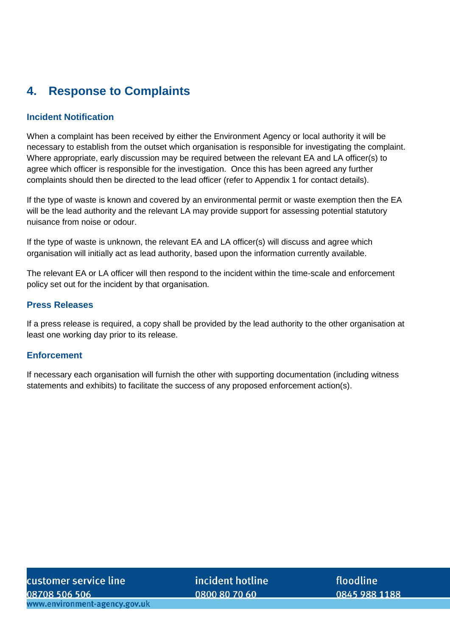# **4. Response to Complaints**

#### **Incident Notification**

When a complaint has been received by either the Environment Agency or local authority it will be necessary to establish from the outset which organisation is responsible for investigating the complaint. Where appropriate, early discussion may be required between the relevant EA and LA officer(s) to agree which officer is responsible for the investigation. Once this has been agreed any further complaints should then be directed to the lead officer (refer to Appendix 1 for contact details).

If the type of waste is known and covered by an environmental permit or waste exemption then the EA will be the lead authority and the relevant LA may provide support for assessing potential statutory nuisance from noise or odour.

If the type of waste is unknown, the relevant EA and LA officer(s) will discuss and agree which organisation will initially act as lead authority, based upon the information currently available.

The relevant EA or LA officer will then respond to the incident within the time-scale and enforcement policy set out for the incident by that organisation.

#### **Press Releases**

If a press release is required, a copy shall be provided by the lead authority to the other organisation at least one working day prior to its release.

#### **Enforcement**

If necessary each organisation will furnish the other with supporting documentation (including witness statements and exhibits) to facilitate the success of any proposed enforcement action(s).

customer service line 08708 506 506 www.environment-agency.gov.uk

incident hotline 0800 80 70 60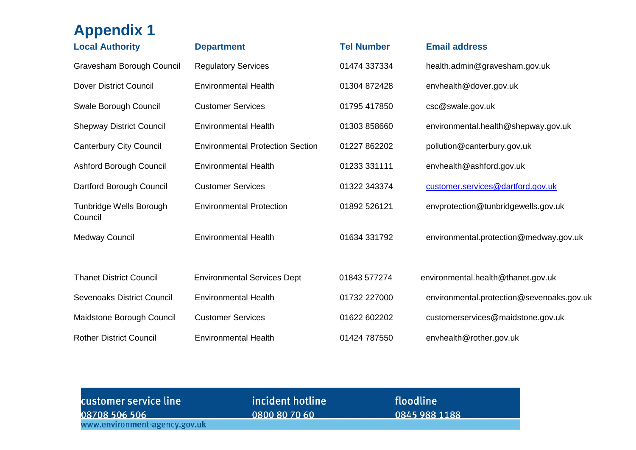| <b>Appendix 1</b>                  |                                         |                   |                                           |
|------------------------------------|-----------------------------------------|-------------------|-------------------------------------------|
| <b>Local Authority</b>             | <b>Department</b>                       | <b>Tel Number</b> | <b>Email address</b>                      |
| Gravesham Borough Council          | <b>Regulatory Services</b>              | 01474 337334      | health.admin@gravesham.gov.uk             |
| <b>Dover District Council</b>      | <b>Environmental Health</b>             | 01304 872428      | envhealth@dover.gov.uk                    |
| Swale Borough Council              | <b>Customer Services</b>                | 01795 417850      | csc@swale.gov.uk                          |
| <b>Shepway District Council</b>    | <b>Environmental Health</b>             | 01303 858660      | environmental.health@shepway.gov.uk       |
| <b>Canterbury City Council</b>     | <b>Environmental Protection Section</b> | 01227 862202      | pollution@canterbury.gov.uk               |
| Ashford Borough Council            | <b>Environmental Health</b>             | 01233 331111      | envhealth@ashford.gov.uk                  |
| Dartford Borough Council           | <b>Customer Services</b>                | 01322 343374      | customer.services@dartford.gov.uk         |
| Tunbridge Wells Borough<br>Council | <b>Environmental Protection</b>         | 01892 526121      | envprotection@tunbridgewells.gov.uk       |
| Medway Council                     | <b>Environmental Health</b>             | 01634 331792      | environmental.protection@medway.gov.uk    |
|                                    |                                         |                   |                                           |
| <b>Thanet District Council</b>     | <b>Environmental Services Dept</b>      | 01843 577274      | environmental.health@thanet.gov.uk        |
| <b>Sevenoaks District Council</b>  | <b>Environmental Health</b>             | 01732 227000      | environmental.protection@sevenoaks.gov.uk |
| Maidstone Borough Council          | <b>Customer Services</b>                | 01622 602202      | customerservices@maidstone.gov.uk         |
| <b>Rother District Council</b>     | <b>Environmental Health</b>             | 01424 787550      | envhealth@rother.gov.uk                   |

| customer service line         | incident hotline | floodline     |
|-------------------------------|------------------|---------------|
| 08708 506 506                 | 0800 80 70 60    | 0845 988 1188 |
| www.environment-agency.gov.uk |                  |               |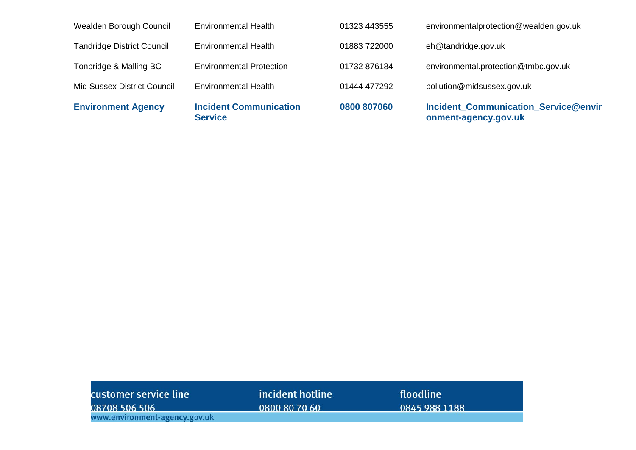| <b>Environment Agency</b>          | <b>Incident Communication</b><br><b>Service</b> | 0800 807060  | <b>Incident_Communication_Service@envir</b><br>onment-agency.gov.uk |
|------------------------------------|-------------------------------------------------|--------------|---------------------------------------------------------------------|
| <b>Mid Sussex District Council</b> | <b>Environmental Health</b>                     | 01444 477292 | pollution@midsussex.gov.uk                                          |
| Tonbridge & Malling BC             | <b>Environmental Protection</b>                 | 01732 876184 | environmental.protection@tmbc.gov.uk                                |
| <b>Tandridge District Council</b>  | <b>Environmental Health</b>                     | 01883 722000 | eh@tandridge.gov.uk                                                 |
| Wealden Borough Council            | <b>Environmental Health</b>                     | 01323 443555 | environmentalprotection@wealden.gov.uk                              |

| customer service line         | incident hotline | floodline     |  |
|-------------------------------|------------------|---------------|--|
| 08708 506 506                 | 0800 80 70 60    | 0845 988 1188 |  |
| www.environment-agency.gov.uk |                  |               |  |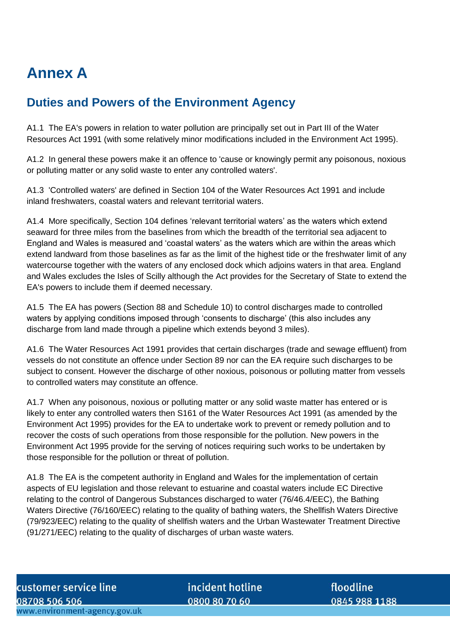# **Annex A**

# **Duties and Powers of the Environment Agency**

A1.1 The EA's powers in relation to water pollution are principally set out in Part III of the Water Resources Act 1991 (with some relatively minor modifications included in the Environment Act 1995).

A1.2 In general these powers make it an offence to 'cause or knowingly permit any poisonous, noxious or polluting matter or any solid waste to enter any controlled waters'.

A1.3 'Controlled waters' are defined in Section 104 of the Water Resources Act 1991 and include inland freshwaters, coastal waters and relevant territorial waters.

A1.4 More specifically, Section 104 defines 'relevant territorial waters' as the waters which extend seaward for three miles from the baselines from which the breadth of the territorial sea adjacent to England and Wales is measured and 'coastal waters' as the waters which are within the areas which extend landward from those baselines as far as the limit of the highest tide or the freshwater limit of any watercourse together with the waters of any enclosed dock which adjoins waters in that area. England and Wales excludes the Isles of Scilly although the Act provides for the Secretary of State to extend the EA's powers to include them if deemed necessary.

A1.5 The EA has powers (Section 88 and Schedule 10) to control discharges made to controlled waters by applying conditions imposed through 'consents to discharge' (this also includes any discharge from land made through a pipeline which extends beyond 3 miles).

A1.6 The Water Resources Act 1991 provides that certain discharges (trade and sewage effluent) from vessels do not constitute an offence under Section 89 nor can the EA require such discharges to be subject to consent. However the discharge of other noxious, poisonous or polluting matter from vessels to controlled waters may constitute an offence.

A1.7 When any poisonous, noxious or polluting matter or any solid waste matter has entered or is likely to enter any controlled waters then S161 of the Water Resources Act 1991 (as amended by the Environment Act 1995) provides for the EA to undertake work to prevent or remedy pollution and to recover the costs of such operations from those responsible for the pollution. New powers in the Environment Act 1995 provide for the serving of notices requiring such works to be undertaken by those responsible for the pollution or threat of pollution.

A1.8 The EA is the competent authority in England and Wales for the implementation of certain aspects of EU legislation and those relevant to estuarine and coastal waters include EC Directive relating to the control of Dangerous Substances discharged to water (76/46.4/EEC), the Bathing Waters Directive (76/160/EEC) relating to the quality of bathing waters, the Shellfish Waters Directive (79/923/EEC) relating to the quality of shellfish waters and the Urban Wastewater Treatment Directive (91/271/EEC) relating to the quality of discharges of urban waste waters.

incident hotline 0800 80 70 60